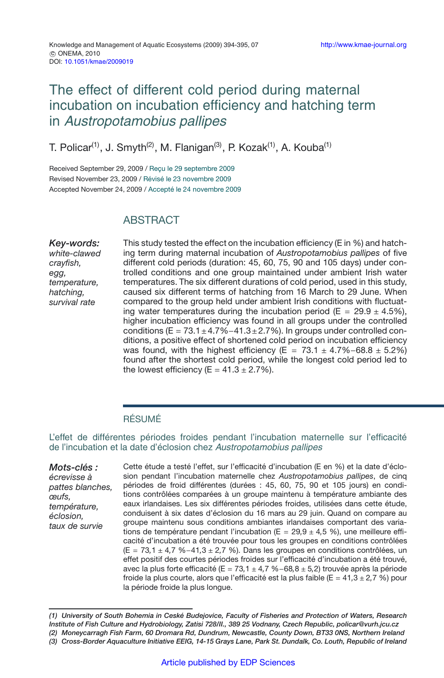# The effect of different cold period during maternal incubation on incubation efficiency and hatching term in Austropotamobius pallipes

T. Policar<sup>(1)</sup>, J. Smyth<sup>(2)</sup>, M. Flanigan<sup>(3)</sup>, P. Kozak<sup>(1)</sup>, A. Kouba<sup>(1)</sup>

Received September 29, 2009 / Reçu le 29 septembre 2009 Revised November 23, 2009 / Révisé le 23 novembre 2009 Accepted November 24, 2009 / Accepté le 24 novembre 2009

## **ABSTRACT**

*Key-words: white-clawed crayfish, egg, temperature, hatching, survival rate*

This study tested the effect on the incubation efficiency (E in %) and hatching term during maternal incubation of *Austropotamobius pallipes* of five different cold periods (duration: 45, 60, 75, 90 and 105 days) under controlled conditions and one group maintained under ambient Irish water temperatures. The six different durations of cold period, used in this study, caused six different terms of hatching from 16 March to 29 June. When compared to the group held under ambient Irish conditions with fluctuating water temperatures during the incubation period ( $E = 29.9 \pm 4.5\%$ ), higher incubation efficiency was found in all groups under the controlled conditions (E =  $73.1 \pm 4.7\% - 41.3 \pm 2.7\%$ ). In groups under controlled conditions, a positive effect of shortened cold period on incubation efficiency was found, with the highest efficiency (E =  $73.1 \pm 4.7\% - 68.8 \pm 5.2\%$ ) found after the shortest cold period, while the longest cold period led to the lowest efficiency ( $E = 41.3 \pm 2.7\%$ ).

#### RÉSUMÉ

L'effet de différentes périodes froides pendant l'incubation maternelle sur l'efficacité de l'incubation et la date d'éclosion chez Austropotamobius pallipes

*Mots-clés : écrevisse à pattes blanches, œufs, température, éclosion, taux de survie*

Cette étude a testé l'effet, sur l'efficacité d'incubation (E en %) et la date d'éclosion pendant l'incubation maternelle chez *Austropotamobius pallipes*, de cinq périodes de froid différentes (durées : 45, 60, 75, 90 et 105 jours) en conditions contrôlées comparées à un groupe maintenu à température ambiante des eaux irlandaises. Les six différentes périodes froides, utilisées dans cette étude, conduisent à six dates d'éclosion du 16 mars au 29 juin. Quand on compare au groupe maintenu sous conditions ambiantes irlandaises comportant des variations de température pendant l'incubation (E = 29*,*9 ± 4*,*5 %), une meilleure efficacité d'incubation a été trouvée pour tous les groupes en conditions contrôlées (E = 73*,*1 ± 4*,*7 %−41*,*3 ± 2*,*7 %). Dans les groupes en conditions contrôlées, un effet positif des courtes périodes froides sur l'efficacité d'incubation a été trouvé, avec la plus forte efficacité (E = 73*,*1 ± 4*,*7 %−68*,*8 ± 5*,*2) trouvée après la période froide la plus courte, alors que l'efficacité est la plus faible (E = 41*,*3 ± 2*,*7 %) pour la période froide la plus longue.

*(1) University of South Bohemia in Ceské Budejovice, Faculty of Fisheries and Protection of Waters, Research Institute of Fish Culture and Hydrobiology, Zatisi 728/II., 389 25 Vodnany, Czech Republic, policar@vurh.jcu.cz (2) Moneycarragh Fish Farm, 60 Dromara Rd, Dundrum, Newcastle, County Down, BT33 0NS, Northern Ireland (3) Cross-Border Aquaculture Initiative EEIG, 14-15 Grays Lane, Park St. Dundalk, Co. Louth, Republic of Ireland*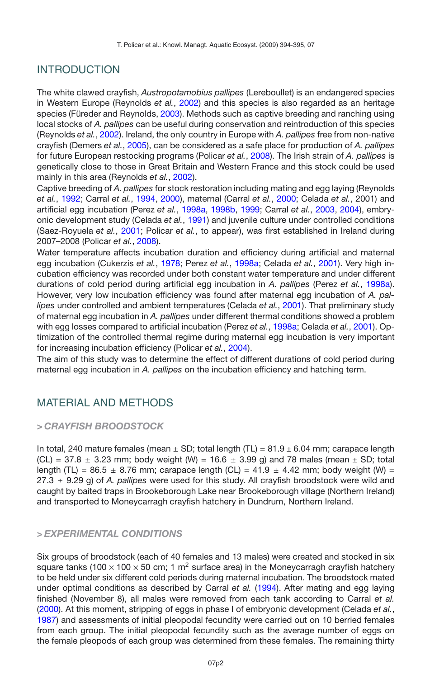## INTRODUCTION

The white clawed crayfish, *Austropotamobius pallipes* (Lereboullet) is an endangered species in Western Europe (Reynolds *et al.*, [2002](#page-6-0)) and this species is also regarded as an heritage species (Füreder and Reynolds, [2003\)](#page-6-1). Methods such as captive breeding and ranching using local stocks of *A. pallipes* can be useful during conservation and reintroduction of this species (Reynolds *et al.*, [2002\)](#page-6-0). Ireland, the only country in Europe with *A. pallipes* free from non-native crayfish (Demers *et al.*, [2005](#page-6-2)), can be considered as a safe place for production of *A. pallipes* for future European restocking programs (Policar *et al.*, [2008](#page-6-3)). The Irish strain of *A. pallipes* is genetically close to those in Great Britain and Western France and this stock could be used mainly in this area (Reynolds *et al.*, [2002](#page-6-0)).

Captive breeding of *A. pallipes* for stock restoration including mating and egg laying (Reynolds *et al.*, [1992;](#page-6-4) Carral *et al.*, [1994,](#page-5-0) [2000\)](#page-5-1), maternal (Carral *et al.*, [2000](#page-5-1); Celada *et al.*, 2001) and artificial egg incubation (Perez *et al.*, [1998a](#page-6-5), [1998b](#page-6-6), [1999;](#page-6-7) Carral *et al.*, [2003,](#page-5-2) [2004](#page-5-3)), embryonic development study (Celada *et al.*, [1991\)](#page-5-4) and juvenile culture under controlled conditions (Saez-Royuela *et al.*, [2001](#page-6-8); Policar *et al.*, to appear), was first established in Ireland during 2007–2008 (Policar *et al.*, [2008\)](#page-6-3).

Water temperature affects incubation duration and efficiency during artificial and maternal egg incubation (Cukerzis *et al.*, [1978](#page-5-5); Perez *et al.*, [1998a](#page-6-5); Celada *et al.*, [2001](#page-5-6)). Very high incubation efficiency was recorded under both constant water temperature and under different durations of cold period during artificial egg incubation in *A. pallipes* (Perez *et al.*, [1998a](#page-6-5)). However, very low incubation efficiency was found after maternal egg incubation of *A. pallipes* under controlled and ambient temperatures (Celada *et al.*, [2001\)](#page-5-6). That preliminary study of maternal egg incubation in *A. pallipes* under different thermal conditions showed a problem with egg losses compared to artificial incubation (Perez *et al.*, [1998a](#page-6-5); Celada *et al.*, [2001](#page-5-6)). Optimization of the controlled thermal regime during maternal egg incubation is very important for increasing incubation efficiency (Policar *et al.*, [2004\)](#page-6-9).

The aim of this study was to determine the effect of different durations of cold period during maternal egg incubation in *A. pallipes* on the incubation efficiency and hatching term.

## MATERIAL AND METHODS

#### *> CRAYFISH BROODSTOCK*

In total, 240 mature females (mean  $\pm$  SD; total length (TL) = 81.9  $\pm$  6.04 mm; carapace length  $(CL) = 37.8 \pm 3.23$  mm; body weight  $(W) = 16.6 \pm 3.99$  g) and 78 males (mean  $\pm$  SD; total length (TL) = 86.5  $\pm$  8.76 mm; carapace length (CL) = 41.9  $\pm$  4.42 mm; body weight (W) = 27.3 ± 9.29 g) of *A. pallipes* were used for this study. All crayfish broodstock were wild and caught by baited traps in Brookeborough Lake near Brookeborough village (Northern Ireland) and transported to Moneycarragh crayfish hatchery in Dundrum, Northern Ireland.

#### *> EXPERIMENTAL CONDITIONS*

Six groups of broodstock (each of 40 females and 13 males) were created and stocked in six square tanks (100  $\times$  100  $\times$  50 cm; 1 m<sup>2</sup> surface area) in the Moneycarragh crayfish hatchery to be held under six different cold periods during maternal incubation. The broodstock mated under optimal conditions as described by Carral *et al.* [\(1994\)](#page-5-0). After mating and egg laying finished (November 8), all males were removed from each tank according to Carral *et al.* [\(2000](#page-5-1)). At this moment, stripping of eggs in phase I of embryonic development (Celada *et al.*, [1987\)](#page-5-7) and assessments of initial pleopodal fecundity were carried out on 10 berried females from each group. The initial pleopodal fecundity such as the average number of eggs on the female pleopods of each group was determined from these females. The remaining thirty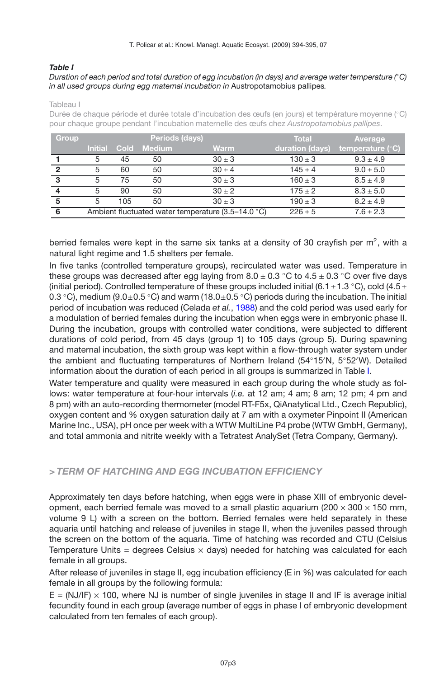#### <span id="page-2-0"></span>*Table I*

#### *Duration of each period and total duration of egg incubation (in days) and average water temperature (*◦*C) in all used groups during egg maternal incubation in* Austropotamobius pallipes*.*

Tableau I

Durée de chaque période et durée totale d'incubation des œufs (en jours) et température moyenne (◦C) pour chaque groupe pendant l'incubation maternelle des œufs chez *Austropotamobius pallipes*.

| <b>Group</b> |                |      | <b>Periods (days)</b> |                                                             | <b>Total</b>    | Average            |
|--------------|----------------|------|-----------------------|-------------------------------------------------------------|-----------------|--------------------|
|              | <b>Initial</b> | Cold | <b>Medium</b>         | <b>Warm</b>                                                 | duration (days) | temperature $(°C)$ |
|              | 5              | 45   | 50                    | $30 \pm 3$                                                  | $130 \pm 3$     | $9.3 \pm 4.9$      |
| 2            | 5              | 60   | 50                    | $30 \pm 4$                                                  | $145 \pm 4$     | $9.0 \pm 5.0$      |
| 3            | 5              | 75   | 50                    | $30 + 3$                                                    | $160 \pm 3$     | $8.5 \pm 4.9$      |
|              | 5              | 90   | 50                    | $30 \pm 2$                                                  | $175 \pm 2$     | $8.3 \pm 5.0$      |
| 5            | 5              | 105  | 50                    | $30 \pm 3$                                                  | $190 \pm 3$     | $8.2 \pm 4.9$      |
| 6            |                |      |                       | Ambient fluctuated water temperature $(3.5-14.0 \degree C)$ | $226 \pm 5$     | $7.6 \pm 2.3$      |

berried females were kept in the same six tanks at a density of 30 crayfish per  $m<sup>2</sup>$ , with a natural light regime and 1.5 shelters per female.

In five tanks (controlled temperature groups), recirculated water was used. Temperature in these groups was decreased after egg laying from  $8.0 \pm 0.3$  °C to  $4.5 \pm 0.3$  °C over five days (initial period). Controlled temperature of these groups included initial (6.1 $\pm$ 1.3 °C), cold (4.5 $\pm$ 0.3 °C), medium (9.0 $\pm$ 0.5 °C) and warm (18.0 $\pm$ 0.5 °C) periods during the incubation. The initial period of incubation was reduced (Celada *et al.*, [1988](#page-5-8)) and the cold period was used early for a modulation of berried females during the incubation when eggs were in embryonic phase II. During the incubation, groups with controlled water conditions, were subjected to different durations of cold period, from 45 days (group 1) to 105 days (group 5). During spawning and maternal incubation, the sixth group was kept within a flow-through water system under the ambient and fluctuating temperatures of Northern Ireland (54◦15 N, 5◦52 W). Detailed information about the duration of each period in all groups is summarized in Table [I.](#page-2-0)

Water temperature and quality were measured in each group during the whole study as follows: water temperature at four-hour intervals (*i.e.* at 12 am; 4 am; 8 am; 12 pm; 4 pm and 8 pm) with an auto-recording thermometer (model RT-F5x, QiAnatytical Ltd., Czech Republic), oxygen content and % oxygen saturation daily at 7 am with a oxymeter Pinpoint II (American Marine Inc., USA), pH once per week with a WTW MultiLine P4 probe (WTW GmbH, Germany), and total ammonia and nitrite weekly with a Tetratest AnalySet (Tetra Company, Germany).

### *> TERM OF HATCHING AND EGG INCUBATION EFFICIENCY*

Approximately ten days before hatching, when eggs were in phase XIII of embryonic development, each berried female was moved to a small plastic aquarium (200  $\times$  300  $\times$  150 mm, volume 9 L) with a screen on the bottom. Berried females were held separately in these aquaria until hatching and release of juveniles in stage II, when the juveniles passed through the screen on the bottom of the aquaria. Time of hatching was recorded and CTU (Celsius Temperature Units = degrees Celsius  $\times$  days) needed for hatching was calculated for each female in all groups.

After release of juveniles in stage II, egg incubation efficiency (E in %) was calculated for each female in all groups by the following formula:

 $E = (NJ/F) \times 100$ , where NJ is number of single juveniles in stage II and IF is average initial fecundity found in each group (average number of eggs in phase I of embryonic development calculated from ten females of each group).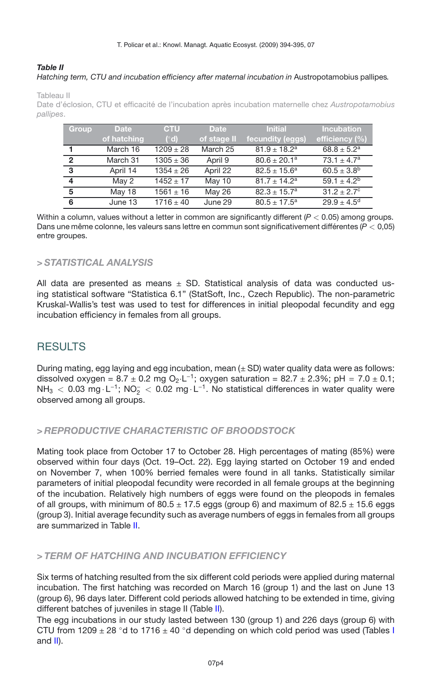#### <span id="page-3-0"></span>*Table II Hatching term, CTU and incubation efficiency after maternal incubation in* Austropotamobius pallipes*.*

Tableau II

Date d'éclosion, CTU et efficacité de l'incubation après incubation maternelle chez *Austropotamobius pallipes*.

| Group                   | <b>Date</b> | <b>CTU</b>    | Date          | <b>Initial</b>    | <b>Incubation</b>      |
|-------------------------|-------------|---------------|---------------|-------------------|------------------------|
|                         | of hatching | $(\degree d)$ | of stage II   | fecundity (eggs)  | efficiency (%)         |
|                         | March 16    | $1209 \pm 28$ | March 25      | $81.9 \pm 18.2^a$ | $68.8 \pm 5.2^a$       |
| $\overline{2}$          | March 31    | $1305 \pm 36$ | April 9       | $80.6 \pm 20.1^a$ | $73.1 \pm 4.7^a$       |
| $\mathbf{3}$            | April 14    | $1354 \pm 26$ | April 22      | $82.5 \pm 15.6^a$ | $60.5 \pm 3.8^{\rm b}$ |
| $\overline{\mathbf{4}}$ | May 2       | $1452 \pm 17$ | May 10        | $81.7 \pm 14.2^a$ | $59.1 \pm 4.2^b$       |
| -5                      | May 18      | $1561 \pm 16$ | <b>May 26</b> | $82.3 \pm 15.7^a$ | $31.2 \pm 2.7^{\circ}$ |
| 6                       | June 13     | $1716 \pm 40$ | June 29       | $80.5 \pm 17.5^a$ | $29.9 \pm 4.5^{\circ}$ |

Within a column, values without a letter in common are significantly different (*P <* 0.05) among groups. Dans une même colonne, les valeurs sans lettre en commun sont significativement différentes (*P <* 0,05) entre groupes.

#### *> STATISTICAL ANALYSIS*

All data are presented as means  $\pm$  SD. Statistical analysis of data was conducted using statistical software "Statistica 6.1" (StatSoft, Inc., Czech Republic). The non-parametric Kruskal-Wallis's test was used to test for differences in initial pleopodal fecundity and egg incubation efficiency in females from all groups.

# **RESULTS**

During mating, egg laying and egg incubation, mean  $(\pm S)$  water quality data were as follows: dissolved oxygen =  $8.7 \pm 0.2$  mg O<sub>2</sub>·L<sup>-1</sup>; oxygen saturation =  $82.7 \pm 2.3$ %; pH =  $7.0 \pm 0.1$ ; NH<sub>3</sub> < 0.03 mg·L<sup>-1</sup>; NO<sub>2</sub> < 0.02 mg·L<sup>-1</sup>. No statistical differences in water quality were observed among all groups.

### *> REPRODUCTIVE CHARACTERISTIC OF BROODSTOCK*

Mating took place from October 17 to October 28. High percentages of mating (85%) were observed within four days (Oct. 19–Oct. 22). Egg laying started on October 19 and ended on November 7, when 100% berried females were found in all tanks. Statistically similar parameters of initial pleopodal fecundity were recorded in all female groups at the beginning of the incubation. Relatively high numbers of eggs were found on the pleopods in females of all groups, with minimum of  $80.5 \pm 17.5$  eggs (group 6) and maximum of  $82.5 \pm 15.6$  eggs (group 3). Initial average fecundity such as average numbers of eggs in females from all groups are summarized in Table [II.](#page-3-0)

#### *> TERM OF HATCHING AND INCUBATION EFFICIENCY*

Six terms of hatching resulted from the six different cold periods were applied during maternal incubation. The first hatching was recorded on March 16 (group 1) and the last on June 13 (group 6), 96 days later. Different cold periods allowed hatching to be extended in time, giving different batches of juveniles in stage II (Table [II\)](#page-3-0).

The egg incubations in our study lasted between 130 (group 1) and 226 days (group 6) with CTU from 1209  $\pm$  28 °d to 1716  $\pm$  40 °d depending on which cold period was used (Tables [I](#page-2-0) and [II\)](#page-3-0).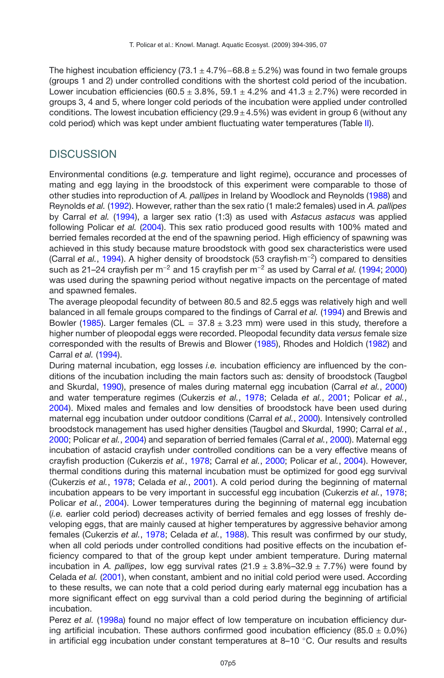The highest incubation efficiency (73.1  $\pm$  4.7%–68.8  $\pm$  5.2%) was found in two female groups (groups 1 and 2) under controlled conditions with the shortest cold period of the incubation. Lower incubation efficiencies (60.5  $\pm$  3.8%, 59.1  $\pm$  4.2% and 41.3  $\pm$  2.7%) were recorded in groups 3, 4 and 5, where longer cold periods of the incubation were applied under controlled conditions. The lowest incubation efficiency ( $29.9 \pm 4.5\%$ ) was evident in group 6 (without any cold period) which was kept under ambient fluctuating water temperatures (Table [II\)](#page-3-0).

## **DISCUSSION**

Environmental conditions (*e.g.* temperature and light regime), occurance and processes of mating and egg laying in the broodstock of this experiment were comparable to those of other studies into reproduction of *A. pallipes* in Ireland by Woodlock and Reynolds [\(1988\)](#page-6-10) and Reynolds *et al.* [\(1992](#page-6-4)). However, rather than the sex ratio (1 male:2 females) used in *A. pallipes* by Carral *et al.* [\(1994](#page-5-0)), a larger sex ratio (1:3) as used with *Astacus astacus* was applied following Policar *et al.* [\(2004\)](#page-6-9). This sex ratio produced good results with 100% mated and berried females recorded at the end of the spawning period. High efficiency of spawning was achieved in this study because mature broodstock with good sex characteristics were used (Carral *et al.*, [1994](#page-5-0)). A higher density of broodstock (53 crayfish·m−2) compared to densities such as 21–24 crayfish per m−<sup>2</sup> and 15 crayfish per m−<sup>2</sup> as used by Carral *et al.* [\(1994](#page-5-0); [2000](#page-5-1)) was used during the spawning period without negative impacts on the percentage of mated and spawned females.

The average pleopodal fecundity of between 80.5 and 82.5 eggs was relatively high and well balanced in all female groups compared to the findings of Carral *et al.* [\(1994](#page-5-0)) and Brewis and Bowler [\(1985](#page-5-9)). Larger females (CL =  $37.8 \pm 3.23$  mm) were used in this study, therefore a higher number of pleopodal eggs were recorded. Pleopodal fecundity data *versus* female size corresponded with the results of Brewis and Blower [\(1985](#page-5-9)), Rhodes and Holdich [\(1982](#page-6-11)) and Carral *et al.* [\(1994](#page-5-0)).

During maternal incubation, egg losses *i.e.* incubation efficiency are influenced by the conditions of the incubation including the main factors such as: density of broodstock (Taugbøl and Skurdal, [1990\)](#page-6-12), presence of males during maternal egg incubation (Carral *et al.*, [2000](#page-5-1)) and water temperature regimes (Cukerzis *et al.*, [1978;](#page-5-5) Celada *et al.*, [2001](#page-5-6); Policar *et al.*, [2004\)](#page-6-9). Mixed males and females and low densities of broodstock have been used during maternal egg incubation under outdoor conditions (Carral *et al.*, [2000](#page-5-1)). Intensively controlled broodstock management has used higher densities (Taugbøl and Skurdal, 1990; Carral *et al.*, [2000;](#page-5-1) Policar *et al.*, [2004\)](#page-6-9) and separation of berried females (Carral *et al.*, [2000\)](#page-5-1). Maternal egg incubation of astacid crayfish under controlled conditions can be a very effective means of crayfish production (Cukerzis *et al.*, [1978;](#page-5-5) Carral *et al.*, [2000](#page-5-1); Policar *et al.*, [2004\)](#page-6-9). However, thermal conditions during this maternal incubation must be optimized for good egg survival (Cukerzis *et al.*, [1978](#page-5-5); Celada *et al.*, [2001](#page-5-6)). A cold period during the beginning of maternal incubation appears to be very important in successful egg incubation (Cukerzis *et al.*, [1978;](#page-5-5) Policar *et al.*, [2004\)](#page-6-9). Lower temperatures during the beginning of maternal egg incubation (*i.e.* earlier cold period) decreases activity of berried females and egg losses of freshly developing eggs, that are mainly caused at higher temperatures by aggressive behavior among females (Cukerzis *et al.*, [1978;](#page-5-5) Celada *et al.*, [1988](#page-5-8)). This result was confirmed by our study, when all cold periods under controlled conditions had positive effects on the incubation efficiency compared to that of the group kept under ambient temperature. During maternal incubation in *A. pallipes*, low egg survival rates  $(21.9 \pm 3.8\% - 32.9 \pm 7.7\%)$  were found by Celada *et al.* [\(2001\)](#page-5-6), when constant, ambient and no initial cold period were used. According to these results, we can note that a cold period during early maternal egg incubation has a more significant effect on egg survival than a cold period during the beginning of artificial incubation.

Perez *et al.* [\(1998a\)](#page-6-5) found no major effect of low temperature on incubation efficiency during artificial incubation. These authors confirmed good incubation efficiency (85.0  $\pm$  0.0%) in artificial egg incubation under constant temperatures at 8–10 ◦C. Our results and results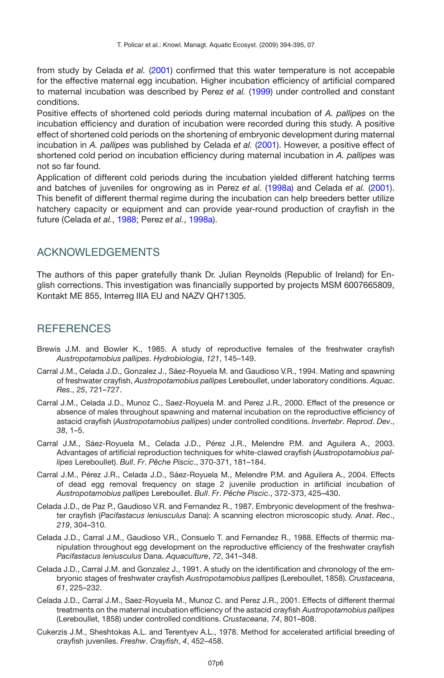from study by Celada *et al.* [\(2001\)](#page-5-6) confirmed that this water temperature is not accepable for the effective maternal egg incubation. Higher incubation efficiency of artificial compared to maternal incubation was described by Perez *et al.* [\(1999\)](#page-6-7) under controlled and constant conditions.

Positive effects of shortened cold periods during maternal incubation of *A. pallipes* on the incubation efficiency and duration of incubation were recorded during this study. A positive effect of shortened cold periods on the shortening of embryonic development during maternal incubation in *A. pallipes* was published by Celada *et al.* [\(2001\)](#page-5-6). However, a positive effect of shortened cold period on incubation efficiency during maternal incubation in *A. pallipes* was not so far found.

Application of different cold periods during the incubation yielded different hatching terms and batches of juveniles for ongrowing as in Perez *et al.* [\(1998a\)](#page-6-5) and Celada *et al.* [\(2001](#page-5-6)). This benefit of different thermal regime during the incubation can help breeders better utilize hatchery capacity or equipment and can provide year-round production of crayfish in the future (Celada *et al.*, [1988;](#page-5-8) Perez *et al.*, [1998a\)](#page-6-5).

## ACKNOWLEDGEMENTS

The authors of this paper gratefully thank Dr. Julian Reynolds (Republic of Ireland) for English corrections. This investigation was financially supported by projects MSM 6007665809, Kontakt ME 855, Interreg IIIA EU and NAZV QH71305.

# **REFERENCES**

- <span id="page-5-9"></span>Brewis J.M. and Bowler K., 1985. A study of reproductive females of the freshwater crayfish *Austropotamobius pallipes*. *Hydrobiologia*, *121*, 145–149.
- <span id="page-5-0"></span>Carral J.M., Celada J.D., Gonzalez J., Sáez-Royuela M. and Gaudioso V.R., 1994. Mating and spawning of freshwater crayfish, *Austropotamobius pallipes* Lereboullet, under laboratory conditions. *Aquac*. *Res*., *25*, 721–727.
- <span id="page-5-1"></span>Carral J.M., Celada J.D., Munoz C., Saez-Royuela M. and Perez J.R., 2000. Effect of the presence or absence of males throughout spawning and maternal incubation on the reproductive efficiency of astacid crayfish (*Austropotamobius pallipes*) under controlled conditions. *Invertebr*. *Reprod*. *Dev*., *38*, 1–5.
- <span id="page-5-2"></span>Carral J.M., Sáez-Royuela M., Celada J.D., Pérez J.R., Melendre P.M. and Aguilera A., 2003. Advantages of artificial reproduction techniques for white-clawed crayfish (*Austropotamobius pallipes* Lereboullet). *Bull*. *Fr*. *Pêche Piscic*., 370-371, 181–184.
- <span id="page-5-3"></span>Carral J.M., Pérez J.R., Celada J.D., Sáez-Royuela M., Melendre P.M. and Aguilera A., 2004. Effects of dead egg removal frequency on stage 2 juvenile production in artificial incubation of *Austropotamobius pallipes* Lereboullet. *Bull*. *Fr*. *Pêche Piscic*., 372-373, 425–430.
- <span id="page-5-7"></span>Celada J.D., de Paz P., Gaudioso V.R. and Fernandez R., 1987. Embryonic development of the freshwater crayfish (*Pacifastacus leniusculus* Dana): A scanning electron microscopic study. *Anat*. *Rec*., *219*, 304–310.
- <span id="page-5-8"></span>Celada J.D., Carral J.M., Gaudioso V.R., Consuelo T. and Fernandez R., 1988. Effects of thermic manipulation throughout egg development on the reproductive efficiency of the freshwater crayfish *Pacifastacus leniusculus* Dana. *Aquaculture*, *72*, 341–348.
- <span id="page-5-4"></span>Celada J.D., Carral J.M. and Gonzalez J., 1991. A study on the identification and chronology of the embryonic stages of freshwater crayfish *Austropotamobius pallipes* (Lereboullet, 1858). *Crustaceana*, *61*, 225–232.
- <span id="page-5-6"></span>Celada J.D., Carral J.M., Saez-Royuela M., Munoz C. and Perez J.R., 2001. Effects of different thermal treatments on the maternal incubation efficiency of the astacid crayfish *Austropotamobius pallipes* (Lereboullet, 1858) under controlled conditions. *Crustaceana*, *74*, 801–808.
- <span id="page-5-5"></span>Cukerzis J.M., Sheshtokas A.L. and Terentyev A.L., 1978. Method for accelerated artificial breeding of crayfish juveniles. *Freshw*. *Crayfish*, *4*, 452–458.